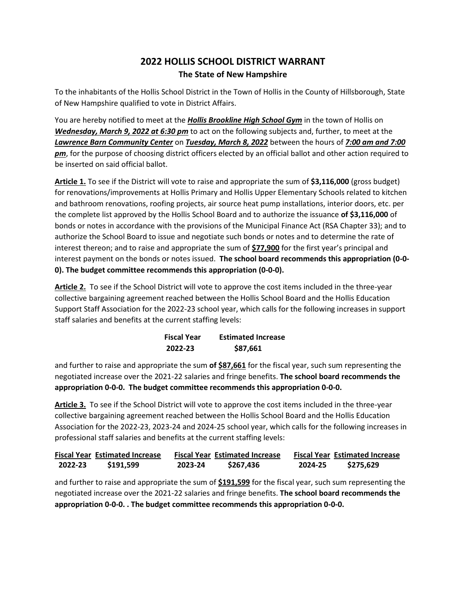## **2022 HOLLIS SCHOOL DISTRICT WARRANT The State of New Hampshire**

To the inhabitants of the Hollis School District in the Town of Hollis in the County of Hillsborough, State of New Hampshire qualified to vote in District Affairs.

You are hereby notified to meet at the *Hollis Brookline High School Gym* in the town of Hollis on *Wednesday, March 9, 2022 at 6:30 pm* to act on the following subjects and, further, to meet at the *Lawrence Barn Community Center* on *Tuesday, March 8, 2022* between the hours of *7:00 am and 7:00 pm*, for the purpose of choosing district officers elected by an official ballot and other action required to be inserted on said official ballot.

**Article 1.** To see if the District will vote to raise and appropriate the sum of **\$3,116,000** (gross budget) for renovations/improvements at Hollis Primary and Hollis Upper Elementary Schools related to kitchen and bathroom renovations, roofing projects, air source heat pump installations, interior doors, etc. per the complete list approved by the Hollis School Board and to authorize the issuance **of \$3,116,000** of bonds or notes in accordance with the provisions of the Municipal Finance Act (RSA Chapter 33); and to authorize the School Board to issue and negotiate such bonds or notes and to determine the rate of interest thereon; and to raise and appropriate the sum of **\$77,900** for the first year's principal and interest payment on the bonds or notes issued. **The school board recommends this appropriation (0-0- 0). The budget committee recommends this appropriation (0-0-0).**

**Article 2.** To see if the School District will vote to approve the cost items included in the three-year collective bargaining agreement reached between the Hollis School Board and the Hollis Education Support Staff Association for the 2022-23 school year, which calls for the following increases in support staff salaries and benefits at the current staffing levels:

| <b>Fiscal Year</b> | <b>Estimated Increase</b> |  |
|--------------------|---------------------------|--|
| 2022-23            | \$87,661                  |  |

and further to raise and appropriate the sum **of \$87,661** for the fiscal year, such sum representing the negotiated increase over the 2021-22 salaries and fringe benefits. **The school board recommends the appropriation 0-0-0. The budget committee recommends this appropriation 0-0-0.**

**Article 3.** To see if the School District will vote to approve the cost items included in the three-year collective bargaining agreement reached between the Hollis School Board and the Hollis Education Association for the 2022-23, 2023-24 and 2024-25 school year, which calls for the following increases in professional staff salaries and benefits at the current staffing levels:

|         | <b>Fiscal Year Estimated Increase</b> |         | <b>Fiscal Year Estimated Increase</b> |         | <b>Fiscal Year Estimated Increase</b> |
|---------|---------------------------------------|---------|---------------------------------------|---------|---------------------------------------|
| 2022-23 | \$191,599                             | 2023-24 | \$267.436                             | 2024-25 | \$275,629                             |

and further to raise and appropriate the sum of **\$191,599** for the fiscal year, such sum representing the negotiated increase over the 2021-22 salaries and fringe benefits. **The school board recommends the appropriation 0-0-0. . The budget committee recommends this appropriation 0-0-0.**